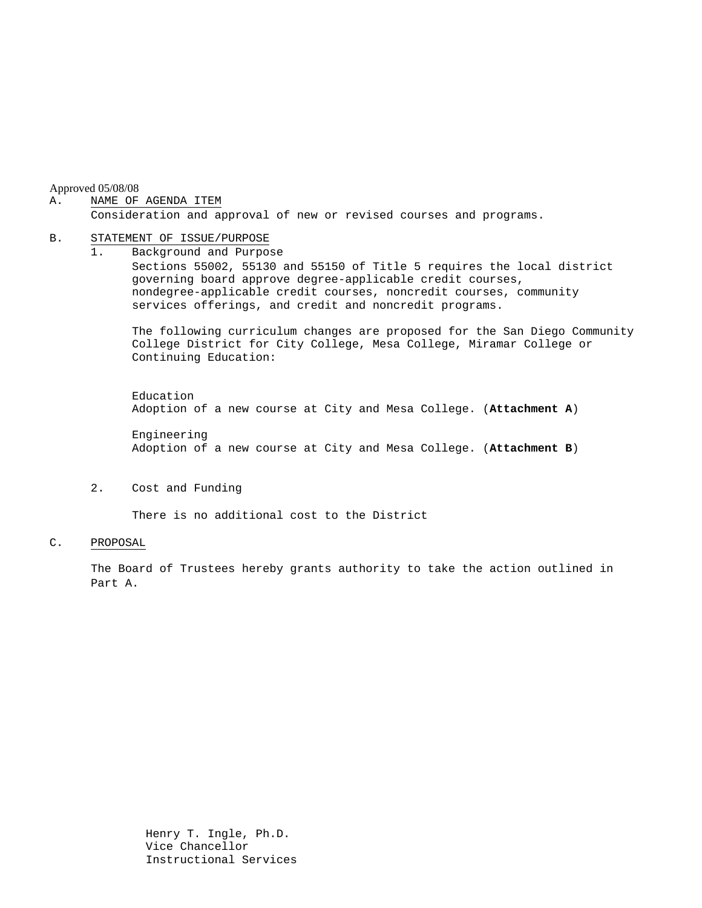Approved 05/08/08

#### A. NAME OF AGENDA ITEM

Consideration and approval of new or revised courses and programs.

#### B. STATEMENT OF ISSUE/PURPOSE

1. Background and Purpose Sections 55002, 55130 and 55150 of Title 5 requires the local district governing board approve degree-applicable credit courses, nondegree-applicable credit courses, noncredit courses, community services offerings, and credit and noncredit programs.

The following curriculum changes are proposed for the San Diego Community College District for City College, Mesa College, Miramar College or Continuing Education:

 Education Adoption of a new course at City and Mesa College. (**Attachment A**)

Engineering Adoption of a new course at City and Mesa College. (**Attachment B**)

2. Cost and Funding

There is no additional cost to the District

### C. PROPOSAL

The Board of Trustees hereby grants authority to take the action outlined in Part A.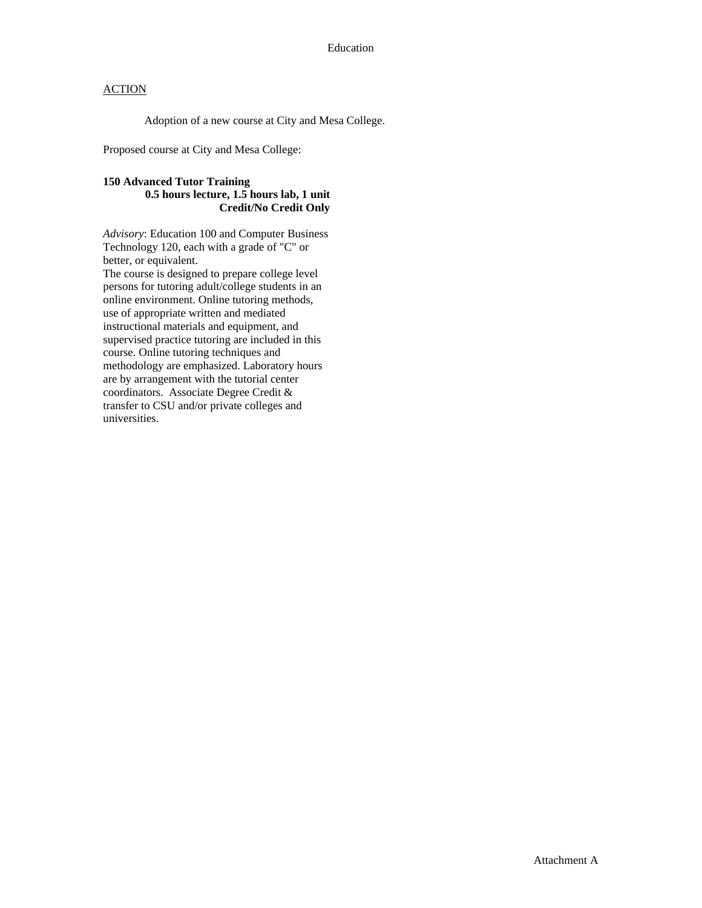# **ACTION**

Adoption of a new course at City and Mesa College.

Proposed course at City and Mesa College:

## **150 Advanced Tutor Training 0.5 hours lecture, 1.5 hours lab, 1 unit Credit/No Credit Only**

*Advisory*: Education 100 and Computer Business Technology 120, each with a grade of "C" or better, or equivalent.

The course is designed to prepare college level persons for tutoring adult/college students in an online environment. Online tutoring methods, use of appropriate written and mediated instructional materials and equipment, and supervised practice tutoring are included in this course. Online tutoring techniques and methodology are emphasized. Laboratory hours are by arrangement with the tutorial center coordinators. Associate Degree Credit & transfer to CSU and/or private colleges and universities.